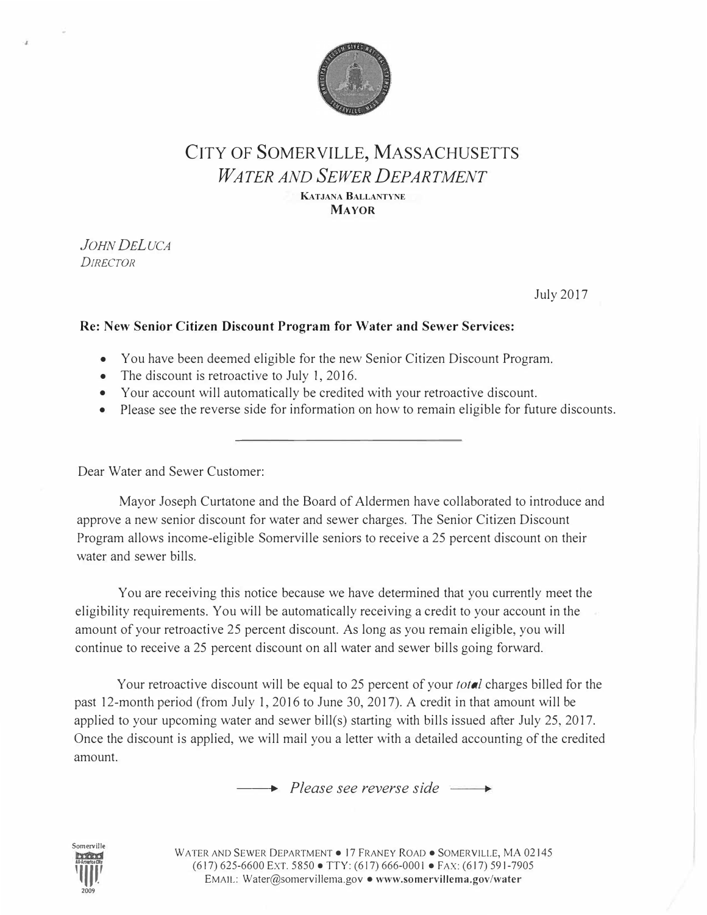

## CITY OF SOMERVILLE, MASSACHUSETTS *WATER AND SEWER DEPARTMENT*  **KATJANA BALLANTYNE**

**MAYOR** 

*JOHN DELUCA DIRECTOR* 

July 2017

## **Re: New Senior Citizen Discount Program for Water and Sewer Services:**

- You have been deemed eligible for the new Senior Citizen Discount Program.
- The discount is retroactive to July 1, 2016.
- Your account will automatically be credited with your retroactive discount.
- Please see the reverse side for information on how to remain eligible for future discounts.

Dear Water and Sewer Customer:

Mayor Joseph Curtatone and the Board of Aldermen have collaborated to introduce and approve a new senior discount for water and sewer charges. The Senior Citizen Discount Program allows income-eligible Somerville seniors to receive a 25 percent discount on their water and sewer hills.

You are receiving this notice because we have determined that you currently meet the eligibility requirements. You will be automatically receiving a credit to your account in the amount of your retroactive 25 percent discount. As long as you remain eligible, you will continue to receive a 25 percent discount on all water and sewer bills going forward.

Your retroactive discount will be equal to 25 percent of your *total* charges billed for the past 12-month period (from July I, 2016 to June 30, 2017). A credit in that amount will be applied to your upcoming water and sewer bill(s) starting with bills issued after July 25, 2017. Once the discount is applied, we will mail you a letter with a detailed accounting of the credited amount.





WATER AND SEWER DEPARTMENT • 17 FRANEY ROAD • SOMERVILLE, MA 02145 (617) 625-6600 EXT. 5850 • TTY: (617) 666-000 I •FAX: (617) 591-7905 EMAIL: Water@somervillema.gov • **www.somervillema.gov/water**